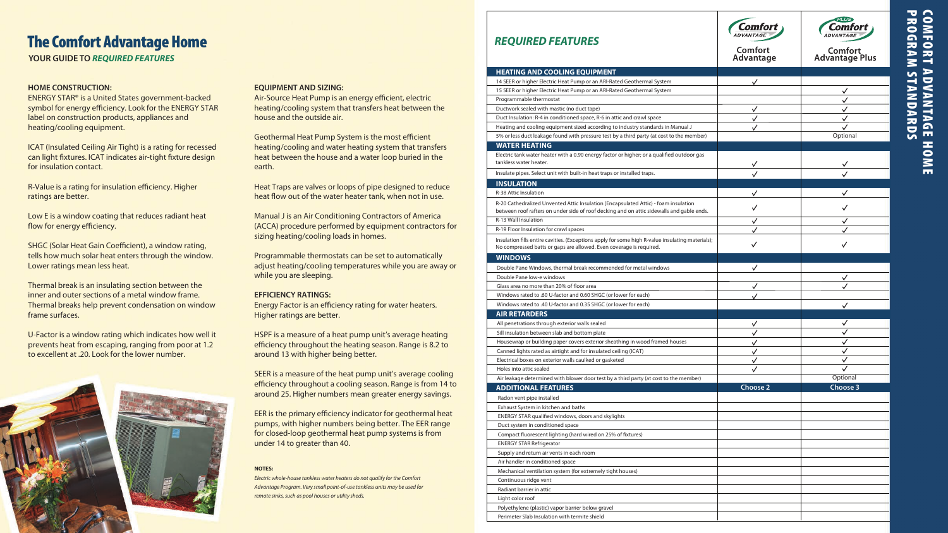| <b>REQUIRED FEATURES</b><br><b>HEATING AND COOLING EQUIPMENT</b>                                                                                                                 | Comfort<br>Advantage | <b>PI IIS</b><br>Comfort<br><b>Advantage Plus</b> |
|----------------------------------------------------------------------------------------------------------------------------------------------------------------------------------|----------------------|---------------------------------------------------|
| 14 SEER or higher Electric Heat Pump or an ARI-Rated Geothermal System                                                                                                           |                      |                                                   |
| 15 SEER or higher Electric Heat Pump or an ARI-Rated Geothermal System                                                                                                           |                      | ✓                                                 |
| Programmable thermostat                                                                                                                                                          |                      | ✓                                                 |
| Ductwork sealed with mastic (no duct tape)                                                                                                                                       | ✓                    | $\checkmark$                                      |
| Duct Insulation: R-4 in conditioned space, R-6 in attic and crawl space                                                                                                          | ✓                    | ✓                                                 |
| Heating and cooling equipment sized according to industry standards in Manual J                                                                                                  | ✓                    |                                                   |
| 5% or less duct leakage found with pressure test by a third party (at cost to the member)                                                                                        |                      | Optional                                          |
| <b>WATER HEATING</b>                                                                                                                                                             |                      |                                                   |
| Electric tank water heater with a 0.90 energy factor or higher; or a qualified outdoor gas<br>tankless water heater.                                                             |                      |                                                   |
| Insulate pipes. Select unit with built-in heat traps or installed traps.                                                                                                         |                      |                                                   |
| <b>INSULATION</b>                                                                                                                                                                |                      |                                                   |
| R-38 Attic Insulation                                                                                                                                                            |                      |                                                   |
| R-20 Cathedralized Unvented Attic Insulation (Encapsulated Attic) - foam insulation<br>between roof rafters on under side of roof decking and on attic sidewalls and gable ends. | ✓                    |                                                   |
| R-13 Wall Insulation                                                                                                                                                             | ✓                    | ✓                                                 |
| R-19 Floor Insulation for crawl spaces                                                                                                                                           |                      |                                                   |
| Insulation fills entire cavities. (Exceptions apply for some high R-value insulating materials);<br>No compressed batts or gaps are allowed. Even coverage is required.          | ✓                    | ✓                                                 |
| <b>WINDOWS</b>                                                                                                                                                                   |                      |                                                   |
| Double Pane Windows, thermal break recommended for metal windows                                                                                                                 | ✓                    |                                                   |
| Double Pane low-e windows                                                                                                                                                        |                      | ✓                                                 |
| Glass area no more than 20% of floor area                                                                                                                                        |                      | ✓                                                 |
| Windows rated to .60 U-factor and 0.60 SHGC (or lower for each)                                                                                                                  |                      |                                                   |
| Windows rated to .40 U-factor and 0.35 SHGC (or lower for each)                                                                                                                  |                      | ✓                                                 |
| <b>AIR RETARDERS</b>                                                                                                                                                             |                      |                                                   |
| All penetrations through exterior walls sealed                                                                                                                                   | ✓                    | ✓                                                 |
| Sill insulation between slab and bottom plate                                                                                                                                    | $\checkmark$         | ✓                                                 |
| Housewrap or building paper covers exterior sheathing in wood framed houses                                                                                                      |                      | $\checkmark$                                      |
| Canned lights rated as airtight and for insulated ceiling (ICAT)                                                                                                                 | $\checkmark$         | $\checkmark$                                      |
| Electrical boxes on exterior walls caulked or gasketed                                                                                                                           | ✓                    | ✓                                                 |
| Holes into attic sealed                                                                                                                                                          |                      |                                                   |
| Air leakage determined with blower door test by a third party (at cost to the member)                                                                                            |                      | Optional                                          |
| <b>ADDITIONAL FEATURES</b>                                                                                                                                                       | <b>Choose 2</b>      | Choose 3                                          |
| Radon vent pipe installed                                                                                                                                                        |                      |                                                   |
| Exhaust System in kitchen and baths                                                                                                                                              |                      |                                                   |
| ENERGY STAR qualified windows, doors and skylights                                                                                                                               |                      |                                                   |
| Duct system in conditioned space                                                                                                                                                 |                      |                                                   |
| Compact fluorescent lighting (hard wired on 25% of fixtures)                                                                                                                     |                      |                                                   |
| <b>ENERGY STAR Refrigerator</b>                                                                                                                                                  |                      |                                                   |
| Supply and return air vents in each room                                                                                                                                         |                      |                                                   |
| Air handler in conditioned space                                                                                                                                                 |                      |                                                   |
| Mechanical ventilation system (for extremely tight houses)                                                                                                                       |                      |                                                   |
| Continuous ridge vent<br>Radiant barrier in attic                                                                                                                                |                      |                                                   |
| Light color roof                                                                                                                                                                 |                      |                                                   |
| Polyethylene (plastic) vapor barrier below gravel                                                                                                                                |                      |                                                   |
| Perimeter Slab Insulation with termite shield                                                                                                                                    |                      |                                                   |
|                                                                                                                                                                                  |                      |                                                   |

# PROGRAM COMFORT ADVANTAGE<br>PROGRAM STANDARDS RAM STANDARDS RT ADVANTAGE HOME HOME

R-Value is a rating for insulation efficiency. Higher ratings are better.

Low E is a window coating that reduces radiant heat flow for energy efficiency.

SHGC (Solar Heat Gain Coefficient), a window rating, tells how much solar heat enters through the window. Lower ratings mean less heat.

Air-Source Heat Pump is an energy efficient, electric heating/cooling system that transfers heat between the house and the outside air.

Geothermal Heat Pump System is the most efficient heating/cooling and water heating system that transfers heat between the house and a water loop buried in the earth.

Heat Traps are valves or loops of pipe designed to reduce heat flow out of the water heater tank, when not in use.

Energy Factor is an efficiency rating for water heaters. Higher ratings are better.

EER is the primary efficiency indicator for geothermal heat pumps, with higher numbers being better. The EER range for closed-loop geothermal heat pump systems is from under 14 to greater than 40.

**YOUR GUIDE TO** *REQUIRED FEATURES*

## The Comfort Advantage Home

## **HOME CONSTRUCTION:**

ENERGY STAR® is a United States government-backed symbol for energy efficiency. Look for the ENERGY STAR label on construction products, appliances and heating/cooling equipment.

ICAT (Insulated Ceiling Air Tight) is a rating for recessed can light fixtures. ICAT indicates air-tight fixture design for insulation contact.

Thermal break is an insulating section between the inner and outer sections of a metal window frame. Thermal breaks help prevent condensation on window frame surfaces.

U-Factor is a window rating which indicates how well it prevents heat from escaping, ranging from poor at 1.2 to excellent at .20. Look for the lower number.



## **EQUIPMENT AND SIZING:**

Manual J is an Air Conditioning Contractors of America (ACCA) procedure performed by equipment contractors for sizing heating/cooling loads in homes.

Programmable thermostats can be set to automatically adjust heating/cooling temperatures while you are away or while you are sleeping.

## **EFFICIENCY RATINGS:**

HSPF is a measure of a heat pump unit's average heating efficiency throughout the heating season. Range is 8.2 to around 13 with higher being better.

SEER is a measure of the heat pump unit's average cooling efficiency throughout a cooling season. Range is from 14 to around 25. Higher numbers mean greater energy savings.

### **NOTES:**

*Electric whole-house tankless water heaters do not qualify for the Comfort Advantage Program. Very small point-of-use tankless units may be used for remote sinks, such as pool houses or utility sheds.*